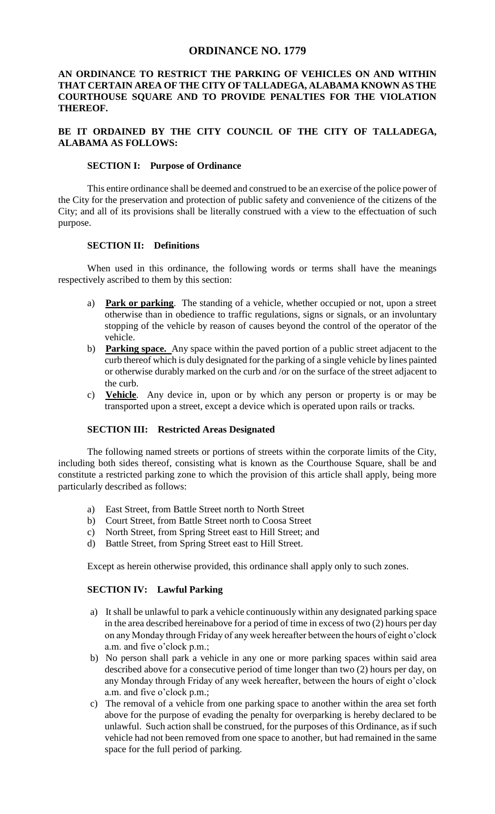#### **ORDINANCE NO. 1779**

### **AN ORDINANCE TO RESTRICT THE PARKING OF VEHICLES ON AND WITHIN THAT CERTAIN AREA OF THE CITY OF TALLADEGA, ALABAMA KNOWN AS THE COURTHOUSE SQUARE AND TO PROVIDE PENALTIES FOR THE VIOLATION THEREOF.**

### **BE IT ORDAINED BY THE CITY COUNCIL OF THE CITY OF TALLADEGA, ALABAMA AS FOLLOWS:**

#### **SECTION I: Purpose of Ordinance**

This entire ordinance shall be deemed and construed to be an exercise of the police power of the City for the preservation and protection of public safety and convenience of the citizens of the City; and all of its provisions shall be literally construed with a view to the effectuation of such purpose.

#### **SECTION II: Definitions**

When used in this ordinance, the following words or terms shall have the meanings respectively ascribed to them by this section:

- a) **Park or parking**. The standing of a vehicle, whether occupied or not, upon a street otherwise than in obedience to traffic regulations, signs or signals, or an involuntary stopping of the vehicle by reason of causes beyond the control of the operator of the vehicle.
- b) **Parking space.** Any space within the paved portion of a public street adjacent to the curb thereof which is duly designated for the parking of a single vehicle by lines painted or otherwise durably marked on the curb and /or on the surface of the street adjacent to the curb.
- c) **Vehicle**. Any device in, upon or by which any person or property is or may be transported upon a street, except a device which is operated upon rails or tracks.

#### **SECTION III: Restricted Areas Designated**

The following named streets or portions of streets within the corporate limits of the City, including both sides thereof, consisting what is known as the Courthouse Square, shall be and constitute a restricted parking zone to which the provision of this article shall apply, being more particularly described as follows:

- a) East Street, from Battle Street north to North Street
- b) Court Street, from Battle Street north to Coosa Street
- c) North Street, from Spring Street east to Hill Street; and
- d) Battle Street, from Spring Street east to Hill Street.

Except as herein otherwise provided, this ordinance shall apply only to such zones.

#### **SECTION IV: Lawful Parking**

- a) It shall be unlawful to park a vehicle continuously within any designated parking space in the area described hereinabove for a period of time in excess of two (2) hours per day on any Monday through Friday of any week hereafter between the hours of eight o'clock a.m. and five o'clock p.m.;
- b) No person shall park a vehicle in any one or more parking spaces within said area described above for a consecutive period of time longer than two (2) hours per day, on any Monday through Friday of any week hereafter, between the hours of eight o'clock a.m. and five o'clock p.m.;
- c) The removal of a vehicle from one parking space to another within the area set forth above for the purpose of evading the penalty for overparking is hereby declared to be unlawful. Such action shall be construed, for the purposes of this Ordinance, as if such vehicle had not been removed from one space to another, but had remained in the same space for the full period of parking.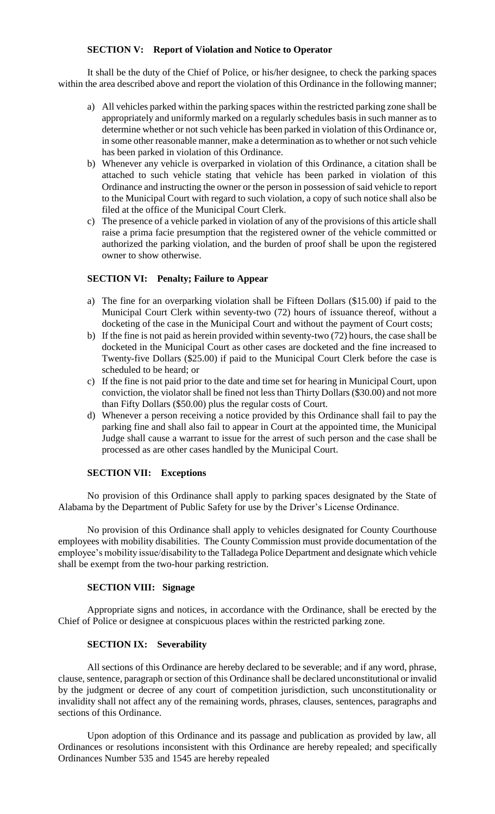#### **SECTION V: Report of Violation and Notice to Operator**

It shall be the duty of the Chief of Police, or his/her designee, to check the parking spaces within the area described above and report the violation of this Ordinance in the following manner;

- a) All vehicles parked within the parking spaces within the restricted parking zone shall be appropriately and uniformly marked on a regularly schedules basis in such manner as to determine whether or not such vehicle has been parked in violation of this Ordinance or, in some other reasonable manner, make a determination as to whether or not such vehicle has been parked in violation of this Ordinance.
- b) Whenever any vehicle is overparked in violation of this Ordinance, a citation shall be attached to such vehicle stating that vehicle has been parked in violation of this Ordinance and instructing the owner or the person in possession of said vehicle to report to the Municipal Court with regard to such violation, a copy of such notice shall also be filed at the office of the Municipal Court Clerk.
- c) The presence of a vehicle parked in violation of any of the provisions of this article shall raise a prima facie presumption that the registered owner of the vehicle committed or authorized the parking violation, and the burden of proof shall be upon the registered owner to show otherwise.

#### **SECTION VI: Penalty; Failure to Appear**

- a) The fine for an overparking violation shall be Fifteen Dollars (\$15.00) if paid to the Municipal Court Clerk within seventy-two (72) hours of issuance thereof, without a docketing of the case in the Municipal Court and without the payment of Court costs;
- b) If the fine is not paid as herein provided within seventy-two (72) hours, the case shall be docketed in the Municipal Court as other cases are docketed and the fine increased to Twenty-five Dollars (\$25.00) if paid to the Municipal Court Clerk before the case is scheduled to be heard; or
- c) If the fine is not paid prior to the date and time set for hearing in Municipal Court, upon conviction, the violator shall be fined not less than Thirty Dollars (\$30.00) and not more than Fifty Dollars (\$50.00) plus the regular costs of Court.
- d) Whenever a person receiving a notice provided by this Ordinance shall fail to pay the parking fine and shall also fail to appear in Court at the appointed time, the Municipal Judge shall cause a warrant to issue for the arrest of such person and the case shall be processed as are other cases handled by the Municipal Court.

#### **SECTION VII: Exceptions**

No provision of this Ordinance shall apply to parking spaces designated by the State of Alabama by the Department of Public Safety for use by the Driver's License Ordinance.

No provision of this Ordinance shall apply to vehicles designated for County Courthouse employees with mobility disabilities. The County Commission must provide documentation of the employee's mobility issue/disability to the Talladega Police Department and designate which vehicle shall be exempt from the two-hour parking restriction.

#### **SECTION VIII: Signage**

Appropriate signs and notices, in accordance with the Ordinance, shall be erected by the Chief of Police or designee at conspicuous places within the restricted parking zone.

#### **SECTION IX: Severability**

All sections of this Ordinance are hereby declared to be severable; and if any word, phrase, clause, sentence, paragraph or section of this Ordinance shall be declared unconstitutional or invalid by the judgment or decree of any court of competition jurisdiction, such unconstitutionality or invalidity shall not affect any of the remaining words, phrases, clauses, sentences, paragraphs and sections of this Ordinance.

Upon adoption of this Ordinance and its passage and publication as provided by law, all Ordinances or resolutions inconsistent with this Ordinance are hereby repealed; and specifically Ordinances Number 535 and 1545 are hereby repealed